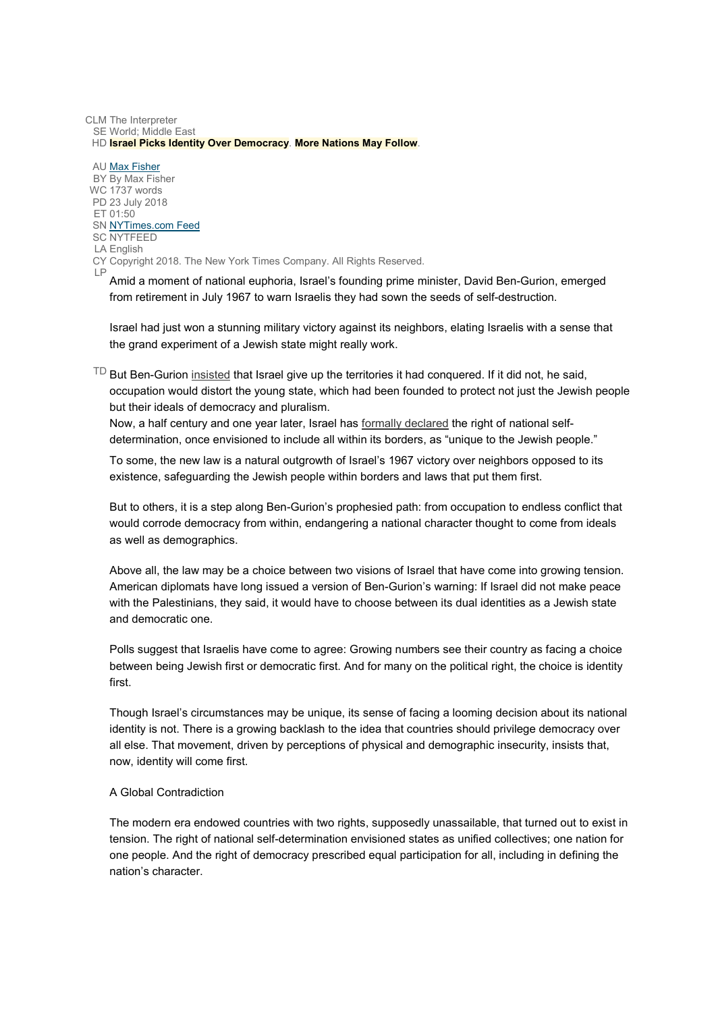CLM The Interpreter SE World; Middle East HD **Israel Picks Identity Over Democracy. More Nations May Follow.** 

AU Max Fisher BY By Max Fisher WC 1737 words PD 23 July 2018 ET 01:50 SN NYTimes.com Feed SC NYTFEED LA English CY Copyright 2018. The New York Times Company. All Rights Reserved.

LP Amid a moment of national euphoria, Israel's founding prime minister, David Ben-Gurion, emerged from retirement in July 1967 to warn Israelis they had sown the seeds of self-destruction.

Israel had just won a stunning military victory against its neighbors, elating Israelis with a sense that the grand experiment of a Jewish state might really work.

 $^{TD}$  But Ben-Gurion insisted that Israel give up the territories it had conquered. If it did not, he said, occupation would distort the young state, which had been founded to protect not just the Jewish people but their ideals of democracy and pluralism.

Now, a half century and one year later, Israel has formally declared the right of national selfdetermination, once envisioned to include all within its borders, as "unique to the Jewish people."

To some, the new law is a natural outgrowth of Israel's 1967 victory over neighbors opposed to its existence, safeguarding the Jewish people within borders and laws that put them first.

But to others, it is a step along Ben-Gurion's prophesied path: from occupation to endless conflict that would corrode democracy from within, endangering a national character thought to come from ideals as well as demographics.

Above all, the law may be a choice between two visions of Israel that have come into growing tension. American diplomats have long issued a version of Ben-Gurion's warning: If Israel did not make peace with the Palestinians, they said, it would have to choose between its dual identities as a Jewish state and democratic one.

Polls suggest that Israelis have come to agree: Growing numbers see their country as facing a choice between being Jewish first or democratic first. And for many on the political right, the choice is identity first.

Though Israel's circumstances may be unique, its sense of facing a looming decision about its national identity is not. There is a growing backlash to the idea that countries should privilege democracy over all else. That movement, driven by perceptions of physical and demographic insecurity, insists that, now, identity will come first.

## A Global Contradiction

The modern era endowed countries with two rights, supposedly unassailable, that turned out to exist in tension. The right of national self-determination envisioned states as unified collectives; one nation for one people. And the right of democracy prescribed equal participation for all, including in defining the nation's character.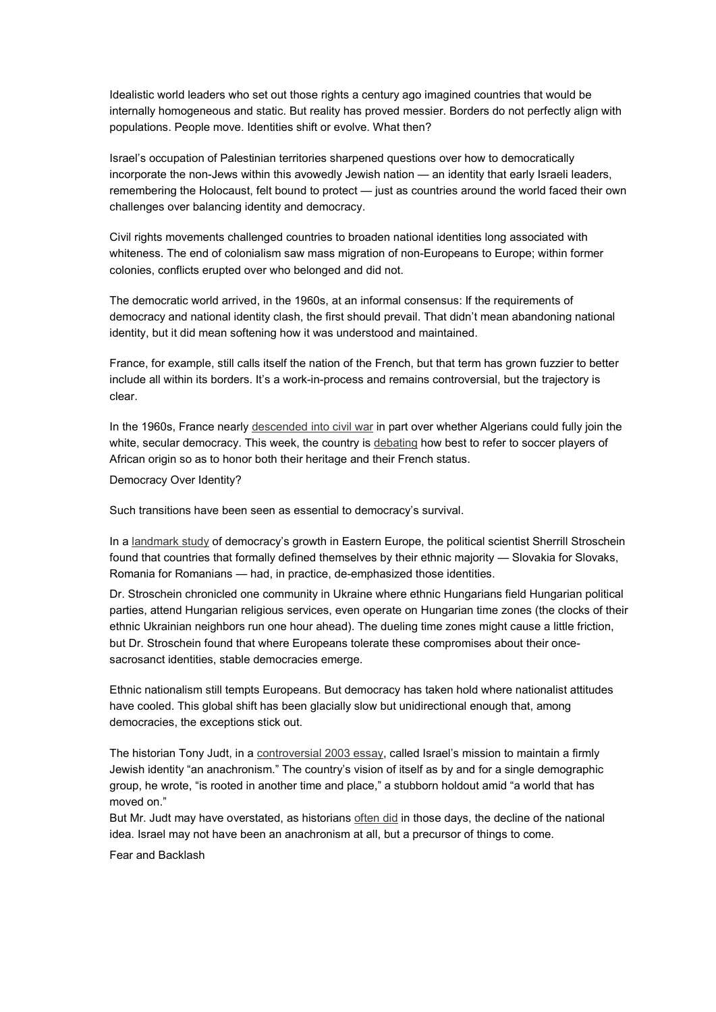Idealistic world leaders who set out those rights a century ago imagined countries that would be internally homogeneous and static. But reality has proved messier. Borders do not perfectly align with populations. People move. Identities shift or evolve. What then?

Israel's occupation of Palestinian territories sharpened questions over how to democratically incorporate the non-Jews within this avowedly Jewish nation — an identity that early Israeli leaders, remembering the Holocaust, felt bound to protect - just as countries around the world faced their own challenges over balancing identity and democracy.

Civil rights movements challenged countries to broaden national identities long associated with whiteness. The end of colonialism saw mass migration of non-Europeans to Europe; within former colonies, conflicts erupted over who belonged and did not.

The democratic world arrived, in the 1960s, at an informal consensus: If the requirements of democracy and national identity clash, the first should prevail. That didn't mean abandoning national identity, but it did mean softening how it was understood and maintained.

France, for example, still calls itself the nation of the French, but that term has grown fuzzier to better include all within its borders. It's a work-in-process and remains controversial, but the trajectory is clear.

In the 1960s, France nearly descended into civil war in part over whether Algerians could fully join the white, secular democracy. This week, the country is debating how best to refer to soccer players of African origin so as to honor both their heritage and their French status.

Democracy Over Identity?

Such transitions have been seen as essential to democracy's survival.

In a landmark study of democracy's growth in Eastern Europe, the political scientist Sherrill Stroschein found that countries that formally defined themselves by their ethnic majority — Slovakia for Slovaks, Romania for Romanians — had, in practice, de-emphasized those identities.

Dr. Stroschein chronicled one community in Ukraine where ethnic Hungarians field Hungarian political parties, attend Hungarian religious services, even operate on Hungarian time zones (the clocks of their ethnic Ukrainian neighbors run one hour ahead). The dueling time zones might cause a little friction, but Dr. Stroschein found that where Europeans tolerate these compromises about their oncesacrosanct identities, stable democracies emerge.

Ethnic nationalism still tempts Europeans. But democracy has taken hold where nationalist attitudes have cooled. This global shift has been glacially slow but unidirectional enough that, among democracies, the exceptions stick out.

The historian Tony Judt, in a controversial 2003 essay, called Israel's mission to maintain a firmly Jewish identity "an anachronism." The country's vision of itself as by and for a single demographic group, he wrote, "is rooted in another time and place," a stubborn holdout amid "a world that has moved on."

But Mr. Judt may have overstated, as historians often did in those days, the decline of the national idea. Israel may not have been an anachronism at all, but a precursor of things to come.

Fear and Backlash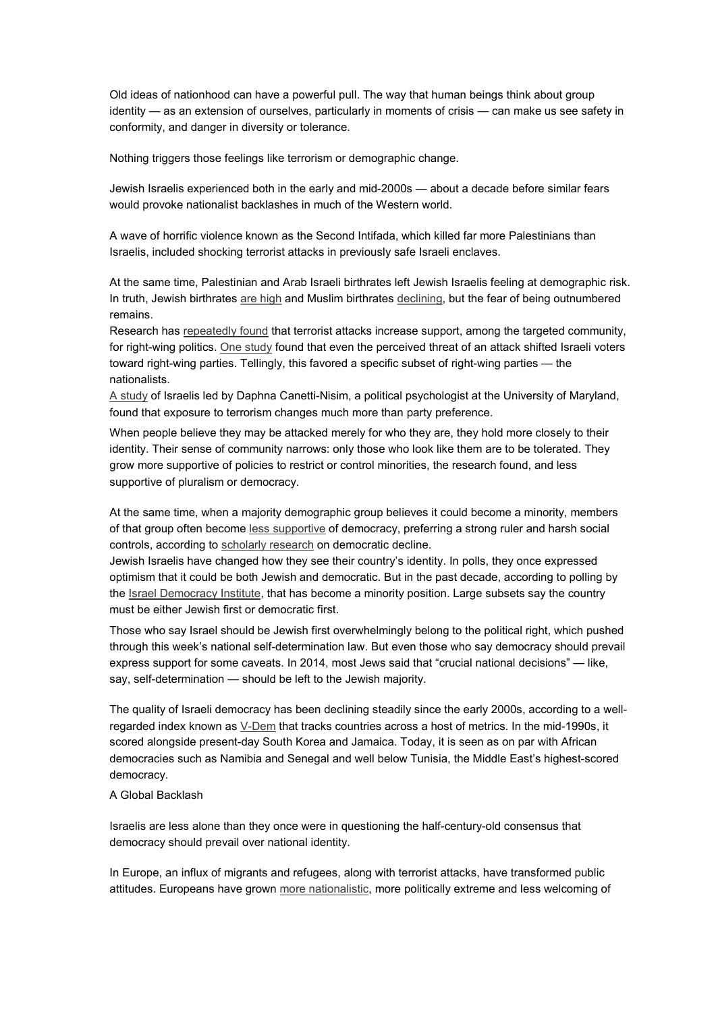Old ideas of nationhood can have a powerful pull. The way that human beings think about group identity — as an extension of ourselves, particularly in moments of crisis — can make us see safety in conformity, and danger in diversity or tolerance.

Nothing triggers those feelings like terrorism or demographic change.

Jewish Israelis experienced both in the early and mid-2000s — about a decade before similar fears would provoke nationalist backlashes in much of the Western world.

A wave of horrific violence known as the Second Intifada, which killed far more Palestinians than Israelis, included shocking terrorist attacks in previously safe Israeli enclaves.

At the same time, Palestinian and Arab Israeli birthrates left Jewish Israelis feeling at demographic risk. In truth, Jewish birthrates are high and Muslim birthrates declining, but the fear of being outnumbered remains.

Research has repeatedly found that terrorist attacks increase support, among the targeted community, for right-wing politics. One study found that even the perceived threat of an attack shifted Israeli voters toward right-wing parties. Tellingly, this favored a specific subset of right-wing parties — the nationalists.

A study of Israelis led by Daphna Canetti-Nisim, a political psychologist at the University of Maryland, found that exposure to terrorism changes much more than party preference.

When people believe they may be attacked merely for who they are, they hold more closely to their identity. Their sense of community narrows: only those who look like them are to be tolerated. They grow more supportive of policies to restrict or control minorities, the research found, and less supportive of pluralism or democracy.

At the same time, when a majority demographic group believes it could become a minority, members of that group often become less supportive of democracy, preferring a strong ruler and harsh social controls, according to scholarly research on democratic decline.

Jewish Israelis have changed how they see their country's identity. In polls, they once expressed optimism that it could be both Jewish and democratic. But in the past decade, according to polling by the Israel Democracy Institute, that has become a minority position. Large subsets say the country must be either Jewish first or democratic first.

Those who say Israel should be Jewish first overwhelmingly belong to the political right, which pushed through this week's national self-determination law. But even those who say democracy should prevail express support for some caveats. In 2014, most Jews said that "crucial national decisions" — like, say, self-determination — should be left to the Jewish majority.

The quality of Israeli democracy has been declining steadily since the early 2000s, according to a wellregarded index known as V-Dem that tracks countries across a host of metrics. In the mid-1990s, it scored alongside present-day South Korea and Jamaica. Today, it is seen as on par with African democracies such as Namibia and Senegal and well below Tunisia, the Middle East's highest-scored democracy.

## A Global Backlash

Israelis are less alone than they once were in questioning the half-century-old consensus that democracy should prevail over national identity.

In Europe, an influx of migrants and refugees, along with terrorist attacks, have transformed public attitudes. Europeans have grown more nationalistic, more politically extreme and less welcoming of